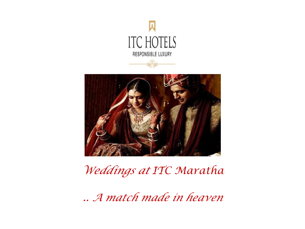



## *Weddings at ITC Maratha*

*.. A match made in heaven*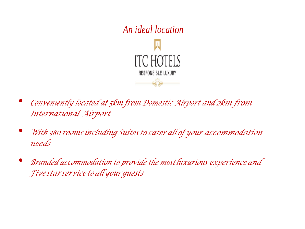

- *Conveniently located at 5km from Domestic Airport and 2km from International Airport*
- *With <sup>380</sup> rooms including Suites to cater all of your accommodation needs*
- *Branded accommodation to provide the most luxurious experience and Five star service to allyour guests*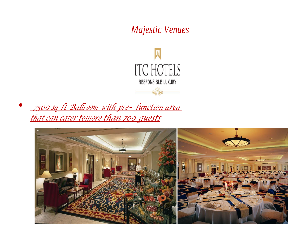## *Majestic Venues*



• *<sup>7500</sup> sq ft Ballroom with pre- function area that can cater tomore than 700 guests*

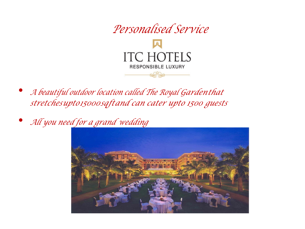

- *A beautiful outdoor location called The Royal Gardenthat stretchesupto15000sqftand can cater upto 1500 guests*
- *All you need for a grand wedding*

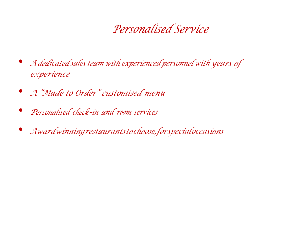## *Personalised Service*

- *<sup>A</sup> dedicated sales team with experienced personnel with years of experience*
- *<sup>A</sup>"Made to Order" customised menu*
- *<sup>P</sup>ersonalised check-in and <sup>r</sup>oo<sup>m</sup> services*
- *Awardwinningrestaurantstochoose,forspecialoccasions*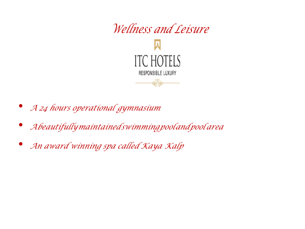

- *A 24 hours operational gymnasium*
- *Abeautifullymaintainedswimmingpoolandpool area*
- *An award winning spa called Kaya Kalp*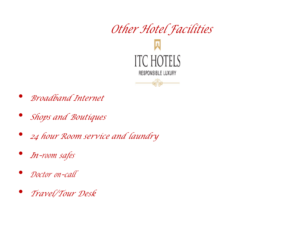

- *Broadband Internet*
- *Shops and Boutiques*
- *24 hour Room service and laundry*
- *In-roo<sup>m</sup> safes*
- *Doctor on-call*
- *Travel/Tour Desk*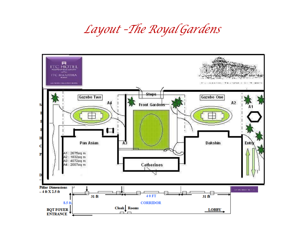## *Layout –The Royal Gardens*